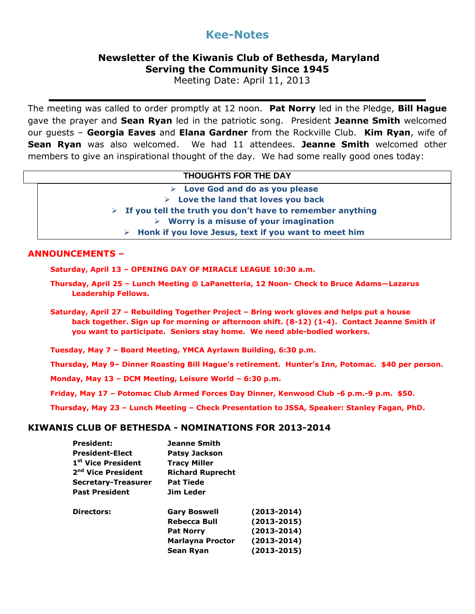# **Kee-Notes**

## **Newsletter of the Kiwanis Club of Bethesda, Maryland Serving the Community Since 1945**

Meeting Date: April 11, 2013

The meeting was called to order promptly at 12 noon. **Pat Norry** led in the Pledge, **Bill Hague** gave the prayer and **Sean Ryan** led in the patriotic song. President **Jeanne Smith** welcomed our guests – **Georgia Eaves** and **Elana Gardner** from the Rockville Club. **Kim Ryan**, wife of **Sean Ryan** was also welcomed. We had 11 attendees. **Jeanne Smith** welcomed other members to give an inspirational thought of the day. We had some really good ones today:

| <b>THOUGHTS FOR THE DAY</b>                                                |
|----------------------------------------------------------------------------|
| $\triangleright$ Love God and do as you please                             |
| $\triangleright$ Love the land that loves you back                         |
| $\triangleright$ If you tell the truth you don't have to remember anything |
| $\triangleright$ Worry is a misuse of your imagination                     |
| $\triangleright$ Honk if you love Jesus, text if you want to meet him      |

#### **ANNOUNCEMENTS –**

**Saturday, April 13 – OPENING DAY OF MIRACLE LEAGUE 10:30 a.m.**

- **Thursday, April 25 – Lunch Meeting @ LaPanetteria, 12 Noon- Check to Bruce Adams—Lazarus Leadership Fellows.**
- **Saturday, April 27 – Rebuilding Together Project – Bring work gloves and helps put a house back together. Sign up for morning or afternoon shift. (8-12) (1-4). Contact Jeanne Smith if you want to participate. Seniors stay home. We need able-bodied workers.**
- **Tuesday, May 7 – Board Meeting, YMCA Ayrlawn Building, 6:30 p.m.**
- **Thursday, May 9– Dinner Roasting Bill Hague's retirement. Hunter's Inn, Potomac. \$40 per person.**
- **Monday, May 13 – DCM Meeting, Leisure World – 6:30 p.m.**
- **Friday, May 17 – Potomac Club Armed Forces Day Dinner, Kenwood Club -6 p.m.-9 p.m. \$50.**
- **Thursday, May 23 – Lunch Meeting – Check Presentation to JSSA, Speaker: Stanley Fagan, PhD.**

#### **KIWANIS CLUB OF BETHESDA - NOMINATIONS FOR 2013-2014**

| <b>Jeanne Smith</b>                                                |                 |
|--------------------------------------------------------------------|-----------------|
| <b>Patsy Jackson</b>                                               |                 |
| <b>Tracy Miller</b><br><b>Richard Ruprecht</b><br><b>Pat Tiede</b> |                 |
|                                                                    |                 |
|                                                                    |                 |
| Jim Leder                                                          |                 |
| <b>Gary Boswell</b>                                                | $(2013 - 2014)$ |
| Rebecca Bull                                                       | $(2013 - 2015)$ |
| <b>Pat Norry</b>                                                   | $(2013 - 2014)$ |
| <b>Marlayna Proctor</b>                                            | $(2013 - 2014)$ |
| Sean Ryan                                                          | $(2013 - 2015)$ |
|                                                                    |                 |